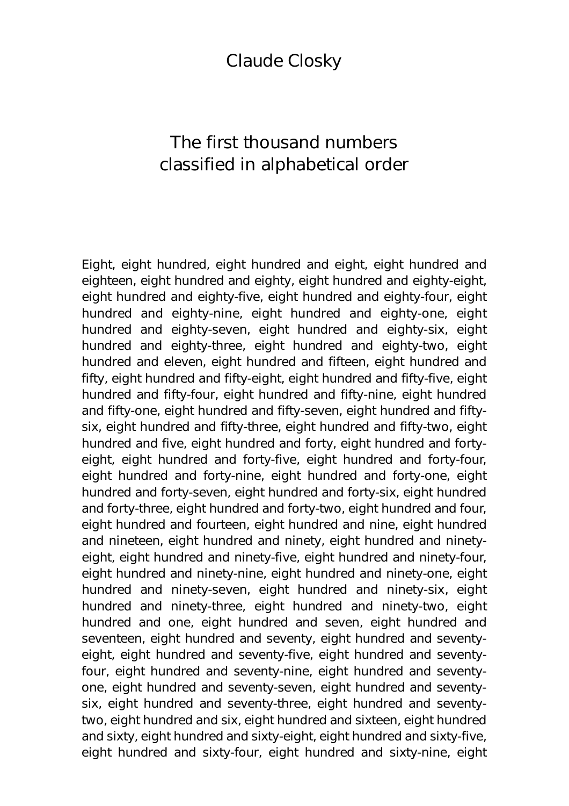## Claude Closky

## The first thousand numbers classified in alphabetical order

Eight, eight hundred, eight hundred and eight, eight hundred and eighteen, eight hundred and eighty, eight hundred and eighty-eight, eight hundred and eighty-five, eight hundred and eighty-four, eight hundred and eighty-nine, eight hundred and eighty-one, eight hundred and eighty-seven, eight hundred and eighty-six, eight hundred and eighty-three, eight hundred and eighty-two, eight hundred and eleven, eight hundred and fifteen, eight hundred and fifty, eight hundred and fifty-eight, eight hundred and fifty-five, eight hundred and fifty-four, eight hundred and fifty-nine, eight hundred and fifty-one, eight hundred and fifty-seven, eight hundred and fiftysix, eight hundred and fifty-three, eight hundred and fifty-two, eight hundred and five, eight hundred and forty, eight hundred and fortyeight, eight hundred and forty-five, eight hundred and forty-four, eight hundred and forty-nine, eight hundred and forty-one, eight hundred and forty-seven, eight hundred and forty-six, eight hundred and forty-three, eight hundred and forty-two, eight hundred and four, eight hundred and fourteen, eight hundred and nine, eight hundred and nineteen, eight hundred and ninety, eight hundred and ninetyeight, eight hundred and ninety-five, eight hundred and ninety-four, eight hundred and ninety-nine, eight hundred and ninety-one, eight hundred and ninety-seven, eight hundred and ninety-six, eight hundred and ninety-three, eight hundred and ninety-two, eight hundred and one, eight hundred and seven, eight hundred and seventeen, eight hundred and seventy, eight hundred and seventyeight, eight hundred and seventy-five, eight hundred and seventyfour, eight hundred and seventy-nine, eight hundred and seventyone, eight hundred and seventy-seven, eight hundred and seventysix, eight hundred and seventy-three, eight hundred and seventytwo, eight hundred and six, eight hundred and sixteen, eight hundred and sixty, eight hundred and sixty-eight, eight hundred and sixty-five, eight hundred and sixty-four, eight hundred and sixty-nine, eight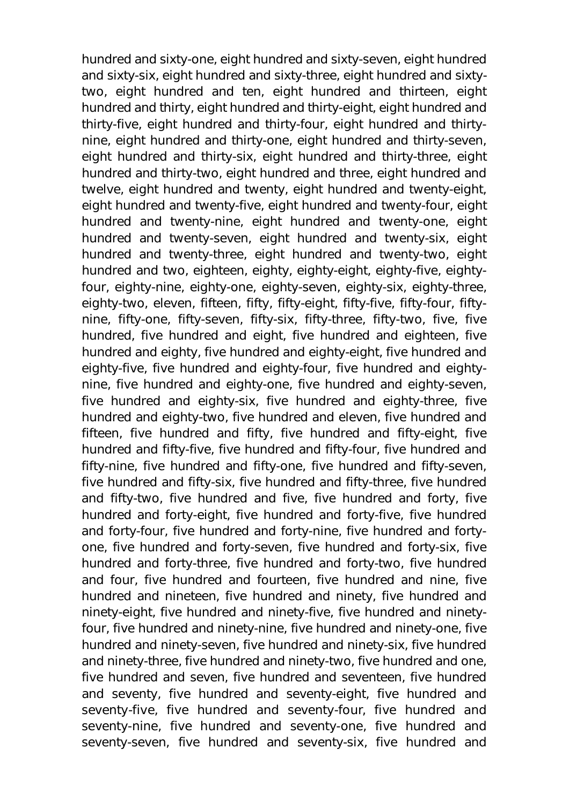hundred and sixty-one, eight hundred and sixty-seven, eight hundred and sixty-six, eight hundred and sixty-three, eight hundred and sixtytwo, eight hundred and ten, eight hundred and thirteen, eight hundred and thirty, eight hundred and thirty-eight, eight hundred and thirty-five, eight hundred and thirty-four, eight hundred and thirtynine, eight hundred and thirty-one, eight hundred and thirty-seven, eight hundred and thirty-six, eight hundred and thirty-three, eight hundred and thirty-two, eight hundred and three, eight hundred and twelve, eight hundred and twenty, eight hundred and twenty-eight, eight hundred and twenty-five, eight hundred and twenty-four, eight hundred and twenty-nine, eight hundred and twenty-one, eight hundred and twenty-seven, eight hundred and twenty-six, eight hundred and twenty-three, eight hundred and twenty-two, eight hundred and two, eighteen, eighty, eighty-eight, eighty-five, eightyfour, eighty-nine, eighty-one, eighty-seven, eighty-six, eighty-three, eighty-two, eleven, fifteen, fifty, fifty-eight, fifty-five, fifty-four, fiftynine, fifty-one, fifty-seven, fifty-six, fifty-three, fifty-two, five, five hundred, five hundred and eight, five hundred and eighteen, five hundred and eighty, five hundred and eighty-eight, five hundred and eighty-five, five hundred and eighty-four, five hundred and eightynine, five hundred and eighty-one, five hundred and eighty-seven, five hundred and eighty-six, five hundred and eighty-three, five hundred and eighty-two, five hundred and eleven, five hundred and fifteen, five hundred and fifty, five hundred and fifty-eight, five hundred and fifty-five, five hundred and fifty-four, five hundred and fifty-nine, five hundred and fifty-one, five hundred and fifty-seven, five hundred and fifty-six, five hundred and fifty-three, five hundred and fifty-two, five hundred and five, five hundred and forty, five hundred and forty-eight, five hundred and forty-five, five hundred and forty-four, five hundred and forty-nine, five hundred and fortyone, five hundred and forty-seven, five hundred and forty-six, five hundred and forty-three, five hundred and forty-two, five hundred and four, five hundred and fourteen, five hundred and nine, five hundred and nineteen, five hundred and ninety, five hundred and ninety-eight, five hundred and ninety-five, five hundred and ninetyfour, five hundred and ninety-nine, five hundred and ninety-one, five hundred and ninety-seven, five hundred and ninety-six, five hundred and ninety-three, five hundred and ninety-two, five hundred and one, five hundred and seven, five hundred and seventeen, five hundred and seventy, five hundred and seventy-eight, five hundred and seventy-five, five hundred and seventy-four, five hundred and seventy-nine, five hundred and seventy-one, five hundred and seventy-seven, five hundred and seventy-six, five hundred and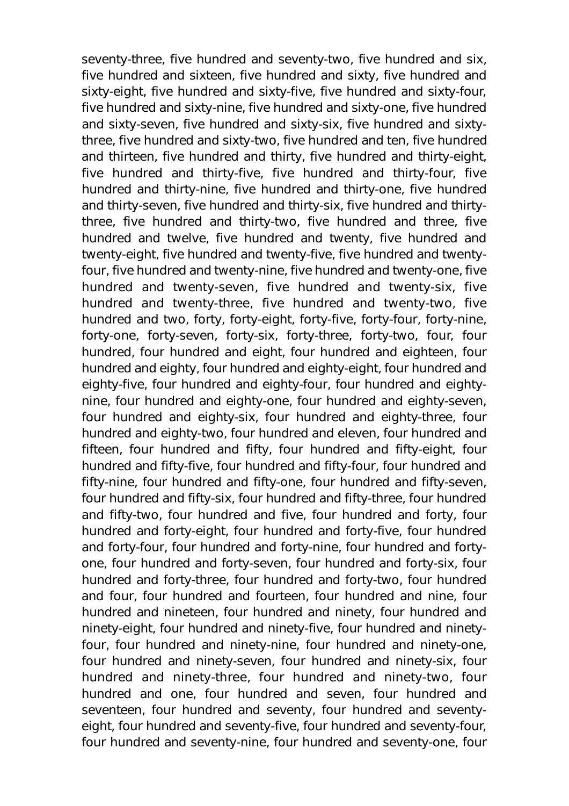seventy-three, five hundred and seventy-two, five hundred and six, five hundred and sixteen, five hundred and sixty, five hundred and sixty-eight, five hundred and sixty-five, five hundred and sixty-four, five hundred and sixty-nine, five hundred and sixty-one, five hundred and sixty-seven, five hundred and sixty-six, five hundred and sixtythree, five hundred and sixty-two, five hundred and ten, five hundred and thirteen, five hundred and thirty, five hundred and thirty-eight, five hundred and thirty-five, five hundred and thirty-four, five hundred and thirty-nine, five hundred and thirty-one, five hundred and thirty-seven, five hundred and thirty-six, five hundred and thirtythree, five hundred and thirty-two, five hundred and three, five hundred and twelve, five hundred and twenty, five hundred and twenty-eight, five hundred and twenty-five, five hundred and twentyfour, five hundred and twenty-nine, five hundred and twenty-one, five hundred and twenty-seven, five hundred and twenty-six, five hundred and twenty-three, five hundred and twenty-two, five hundred and two, forty, forty-eight, forty-five, forty-four, forty-nine, forty-one, forty-seven, forty-six, forty-three, forty-two, four, four hundred, four hundred and eight, four hundred and eighteen, four hundred and eighty, four hundred and eighty-eight, four hundred and eighty-five, four hundred and eighty-four, four hundred and eightynine, four hundred and eighty-one, four hundred and eighty-seven, four hundred and eighty-six, four hundred and eighty-three, four hundred and eighty-two, four hundred and eleven, four hundred and fifteen, four hundred and fifty, four hundred and fifty-eight, four hundred and fifty-five, four hundred and fifty-four, four hundred and fifty-nine, four hundred and fifty-one, four hundred and fifty-seven, four hundred and fifty-six, four hundred and fifty-three, four hundred and fifty-two, four hundred and five, four hundred and forty, four hundred and forty-eight, four hundred and forty-five, four hundred and forty-four, four hundred and forty-nine, four hundred and fortyone, four hundred and forty-seven, four hundred and forty-six, four hundred and forty-three, four hundred and forty-two, four hundred and four, four hundred and fourteen, four hundred and nine, four hundred and nineteen, four hundred and ninety, four hundred and ninety-eight, four hundred and ninety-five, four hundred and ninetyfour, four hundred and ninety-nine, four hundred and ninety-one, four hundred and ninety-seven, four hundred and ninety-six, four hundred and ninety-three, four hundred and ninety-two, four hundred and one, four hundred and seven, four hundred and seventeen, four hundred and seventy, four hundred and seventyeight, four hundred and seventy-five, four hundred and seventy-four, four hundred and seventy-nine, four hundred and seventy-one, four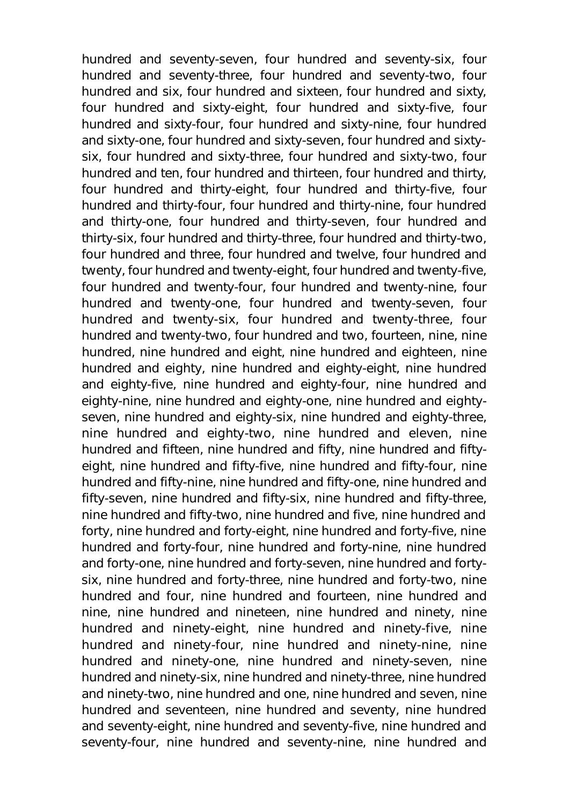hundred and seventy-seven, four hundred and seventy-six, four hundred and seventy-three, four hundred and seventy-two, four hundred and six, four hundred and sixteen, four hundred and sixty, four hundred and sixty-eight, four hundred and sixty-five, four hundred and sixty-four, four hundred and sixty-nine, four hundred and sixty-one, four hundred and sixty-seven, four hundred and sixtysix, four hundred and sixty-three, four hundred and sixty-two, four hundred and ten, four hundred and thirteen, four hundred and thirty, four hundred and thirty-eight, four hundred and thirty-five, four hundred and thirty-four, four hundred and thirty-nine, four hundred and thirty-one, four hundred and thirty-seven, four hundred and thirty-six, four hundred and thirty-three, four hundred and thirty-two, four hundred and three, four hundred and twelve, four hundred and twenty, four hundred and twenty-eight, four hundred and twenty-five, four hundred and twenty-four, four hundred and twenty-nine, four hundred and twenty-one, four hundred and twenty-seven, four hundred and twenty-six, four hundred and twenty-three, four hundred and twenty-two, four hundred and two, fourteen, nine, nine hundred, nine hundred and eight, nine hundred and eighteen, nine hundred and eighty, nine hundred and eighty-eight, nine hundred and eighty-five, nine hundred and eighty-four, nine hundred and eighty-nine, nine hundred and eighty-one, nine hundred and eightyseven, nine hundred and eighty-six, nine hundred and eighty-three, nine hundred and eighty-two, nine hundred and eleven, nine hundred and fifteen, nine hundred and fifty, nine hundred and fiftyeight, nine hundred and fifty-five, nine hundred and fifty-four, nine hundred and fifty-nine, nine hundred and fifty-one, nine hundred and fifty-seven, nine hundred and fifty-six, nine hundred and fifty-three, nine hundred and fifty-two, nine hundred and five, nine hundred and forty, nine hundred and forty-eight, nine hundred and forty-five, nine hundred and forty-four, nine hundred and forty-nine, nine hundred and forty-one, nine hundred and forty-seven, nine hundred and fortysix, nine hundred and forty-three, nine hundred and forty-two, nine hundred and four, nine hundred and fourteen, nine hundred and nine, nine hundred and nineteen, nine hundred and ninety, nine hundred and ninety-eight, nine hundred and ninety-five, nine hundred and ninety-four, nine hundred and ninety-nine, nine hundred and ninety-one, nine hundred and ninety-seven, nine hundred and ninety-six, nine hundred and ninety-three, nine hundred and ninety-two, nine hundred and one, nine hundred and seven, nine hundred and seventeen, nine hundred and seventy, nine hundred and seventy-eight, nine hundred and seventy-five, nine hundred and seventy-four, nine hundred and seventy-nine, nine hundred and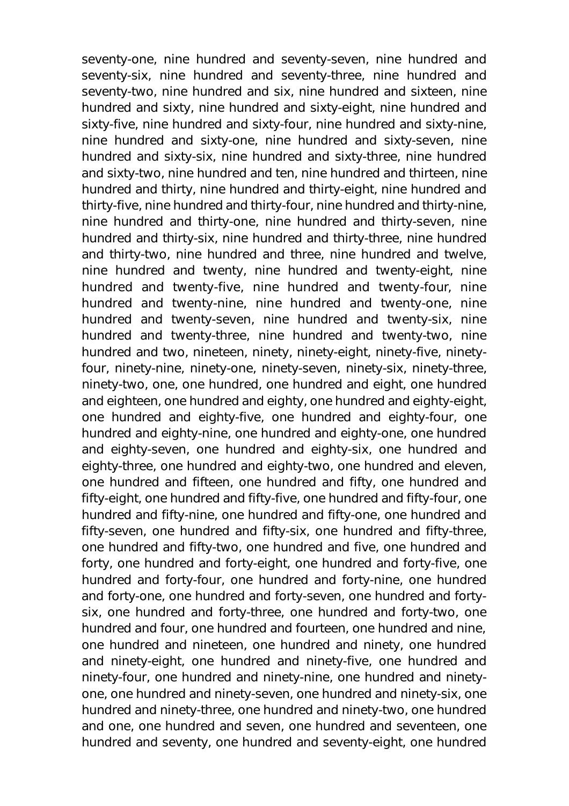seventy-one, nine hundred and seventy-seven, nine hundred and seventy-six, nine hundred and seventy-three, nine hundred and seventy-two, nine hundred and six, nine hundred and sixteen, nine hundred and sixty, nine hundred and sixty-eight, nine hundred and sixty-five, nine hundred and sixty-four, nine hundred and sixty-nine, nine hundred and sixty-one, nine hundred and sixty-seven, nine hundred and sixty-six, nine hundred and sixty-three, nine hundred and sixty-two, nine hundred and ten, nine hundred and thirteen, nine hundred and thirty, nine hundred and thirty-eight, nine hundred and thirty-five, nine hundred and thirty-four, nine hundred and thirty-nine, nine hundred and thirty-one, nine hundred and thirty-seven, nine hundred and thirty-six, nine hundred and thirty-three, nine hundred and thirty-two, nine hundred and three, nine hundred and twelve, nine hundred and twenty, nine hundred and twenty-eight, nine hundred and twenty-five, nine hundred and twenty-four, nine hundred and twenty-nine, nine hundred and twenty-one, nine hundred and twenty-seven, nine hundred and twenty-six, nine hundred and twenty-three, nine hundred and twenty-two, nine hundred and two, nineteen, ninety, ninety-eight, ninety-five, ninetyfour, ninety-nine, ninety-one, ninety-seven, ninety-six, ninety-three, ninety-two, one, one hundred, one hundred and eight, one hundred and eighteen, one hundred and eighty, one hundred and eighty-eight, one hundred and eighty-five, one hundred and eighty-four, one hundred and eighty-nine, one hundred and eighty-one, one hundred and eighty-seven, one hundred and eighty-six, one hundred and eighty-three, one hundred and eighty-two, one hundred and eleven, one hundred and fifteen, one hundred and fifty, one hundred and fifty-eight, one hundred and fifty-five, one hundred and fifty-four, one hundred and fifty-nine, one hundred and fifty-one, one hundred and fifty-seven, one hundred and fifty-six, one hundred and fifty-three, one hundred and fifty-two, one hundred and five, one hundred and forty, one hundred and forty-eight, one hundred and forty-five, one hundred and forty-four, one hundred and forty-nine, one hundred and forty-one, one hundred and forty-seven, one hundred and fortysix, one hundred and forty-three, one hundred and forty-two, one hundred and four, one hundred and fourteen, one hundred and nine, one hundred and nineteen, one hundred and ninety, one hundred and ninety-eight, one hundred and ninety-five, one hundred and ninety-four, one hundred and ninety-nine, one hundred and ninetyone, one hundred and ninety-seven, one hundred and ninety-six, one hundred and ninety-three, one hundred and ninety-two, one hundred and one, one hundred and seven, one hundred and seventeen, one hundred and seventy, one hundred and seventy-eight, one hundred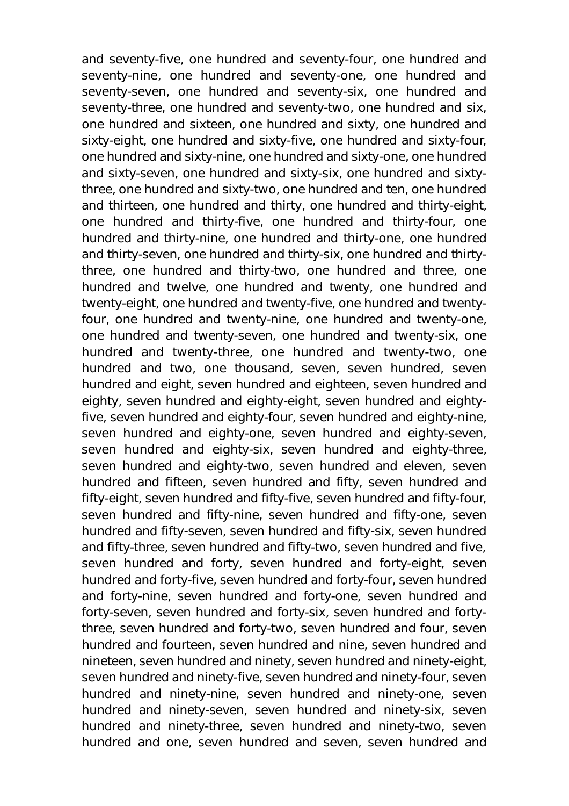and seventy-five, one hundred and seventy-four, one hundred and seventy-nine, one hundred and seventy-one, one hundred and seventy-seven, one hundred and seventy-six, one hundred and seventy-three, one hundred and seventy-two, one hundred and six, one hundred and sixteen, one hundred and sixty, one hundred and sixty-eight, one hundred and sixty-five, one hundred and sixty-four, one hundred and sixty-nine, one hundred and sixty-one, one hundred and sixty-seven, one hundred and sixty-six, one hundred and sixtythree, one hundred and sixty-two, one hundred and ten, one hundred and thirteen, one hundred and thirty, one hundred and thirty-eight, one hundred and thirty-five, one hundred and thirty-four, one hundred and thirty-nine, one hundred and thirty-one, one hundred and thirty-seven, one hundred and thirty-six, one hundred and thirtythree, one hundred and thirty-two, one hundred and three, one hundred and twelve, one hundred and twenty, one hundred and twenty-eight, one hundred and twenty-five, one hundred and twentyfour, one hundred and twenty-nine, one hundred and twenty-one, one hundred and twenty-seven, one hundred and twenty-six, one hundred and twenty-three, one hundred and twenty-two, one hundred and two, one thousand, seven, seven hundred, seven hundred and eight, seven hundred and eighteen, seven hundred and eighty, seven hundred and eighty-eight, seven hundred and eightyfive, seven hundred and eighty-four, seven hundred and eighty-nine, seven hundred and eighty-one, seven hundred and eighty-seven, seven hundred and eighty-six, seven hundred and eighty-three, seven hundred and eighty-two, seven hundred and eleven, seven hundred and fifteen, seven hundred and fifty, seven hundred and fifty-eight, seven hundred and fifty-five, seven hundred and fifty-four, seven hundred and fifty-nine, seven hundred and fifty-one, seven hundred and fifty-seven, seven hundred and fifty-six, seven hundred and fifty-three, seven hundred and fifty-two, seven hundred and five, seven hundred and forty, seven hundred and forty-eight, seven hundred and forty-five, seven hundred and forty-four, seven hundred and forty-nine, seven hundred and forty-one, seven hundred and forty-seven, seven hundred and forty-six, seven hundred and fortythree, seven hundred and forty-two, seven hundred and four, seven hundred and fourteen, seven hundred and nine, seven hundred and nineteen, seven hundred and ninety, seven hundred and ninety-eight, seven hundred and ninety-five, seven hundred and ninety-four, seven hundred and ninety-nine, seven hundred and ninety-one, seven hundred and ninety-seven, seven hundred and ninety-six, seven hundred and ninety-three, seven hundred and ninety-two, seven hundred and one, seven hundred and seven, seven hundred and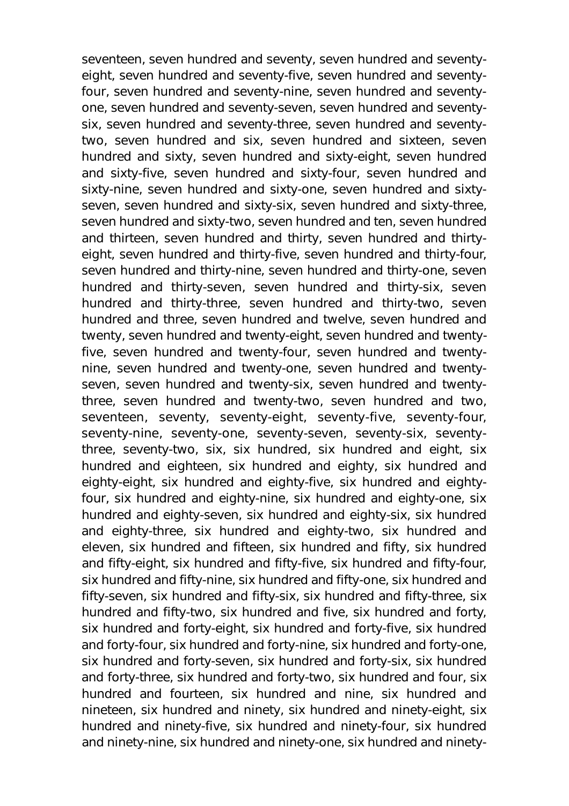seventeen, seven hundred and seventy, seven hundred and seventyeight, seven hundred and seventy-five, seven hundred and seventyfour, seven hundred and seventy-nine, seven hundred and seventyone, seven hundred and seventy-seven, seven hundred and seventysix, seven hundred and seventy-three, seven hundred and seventytwo, seven hundred and six, seven hundred and sixteen, seven hundred and sixty, seven hundred and sixty-eight, seven hundred and sixty-five, seven hundred and sixty-four, seven hundred and sixty-nine, seven hundred and sixty-one, seven hundred and sixtyseven, seven hundred and sixty-six, seven hundred and sixty-three, seven hundred and sixty-two, seven hundred and ten, seven hundred and thirteen, seven hundred and thirty, seven hundred and thirtyeight, seven hundred and thirty-five, seven hundred and thirty-four, seven hundred and thirty-nine, seven hundred and thirty-one, seven hundred and thirty-seven, seven hundred and thirty-six, seven hundred and thirty-three, seven hundred and thirty-two, seven hundred and three, seven hundred and twelve, seven hundred and twenty, seven hundred and twenty-eight, seven hundred and twentyfive, seven hundred and twenty-four, seven hundred and twentynine, seven hundred and twenty-one, seven hundred and twentyseven, seven hundred and twenty-six, seven hundred and twentythree, seven hundred and twenty-two, seven hundred and two, seventeen, seventy, seventy-eight, seventy-five, seventy-four, seventy-nine, seventy-one, seventy-seven, seventy-six, seventythree, seventy-two, six, six hundred, six hundred and eight, six hundred and eighteen, six hundred and eighty, six hundred and eighty-eight, six hundred and eighty-five, six hundred and eightyfour, six hundred and eighty-nine, six hundred and eighty-one, six hundred and eighty-seven, six hundred and eighty-six, six hundred and eighty-three, six hundred and eighty-two, six hundred and eleven, six hundred and fifteen, six hundred and fifty, six hundred and fifty-eight, six hundred and fifty-five, six hundred and fifty-four, six hundred and fifty-nine, six hundred and fifty-one, six hundred and fifty-seven, six hundred and fifty-six, six hundred and fifty-three, six hundred and fifty-two, six hundred and five, six hundred and forty, six hundred and forty-eight, six hundred and forty-five, six hundred and forty-four, six hundred and forty-nine, six hundred and forty-one, six hundred and forty-seven, six hundred and forty-six, six hundred and forty-three, six hundred and forty-two, six hundred and four, six hundred and fourteen, six hundred and nine, six hundred and nineteen, six hundred and ninety, six hundred and ninety-eight, six hundred and ninety-five, six hundred and ninety-four, six hundred and ninety-nine, six hundred and ninety-one, six hundred and ninety-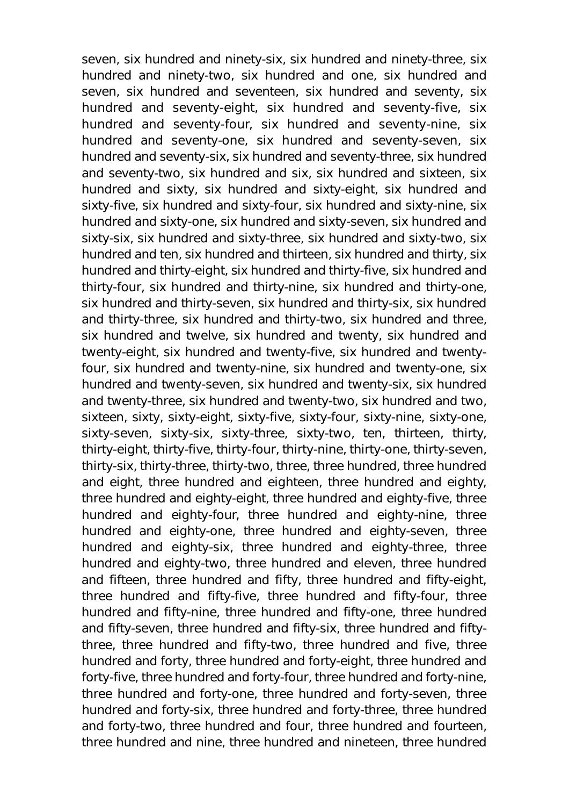seven, six hundred and ninety-six, six hundred and ninety-three, six hundred and ninety-two, six hundred and one, six hundred and seven, six hundred and seventeen, six hundred and seventy, six hundred and seventy-eight, six hundred and seventy-five, six hundred and seventy-four, six hundred and seventy-nine, six hundred and seventy-one, six hundred and seventy-seven, six hundred and seventy-six, six hundred and seventy-three, six hundred and seventy-two, six hundred and six, six hundred and sixteen, six hundred and sixty, six hundred and sixty-eight, six hundred and sixty-five, six hundred and sixty-four, six hundred and sixty-nine, six hundred and sixty-one, six hundred and sixty-seven, six hundred and sixty-six, six hundred and sixty-three, six hundred and sixty-two, six hundred and ten, six hundred and thirteen, six hundred and thirty, six hundred and thirty-eight, six hundred and thirty-five, six hundred and thirty-four, six hundred and thirty-nine, six hundred and thirty-one, six hundred and thirty-seven, six hundred and thirty-six, six hundred and thirty-three, six hundred and thirty-two, six hundred and three, six hundred and twelve, six hundred and twenty, six hundred and twenty-eight, six hundred and twenty-five, six hundred and twentyfour, six hundred and twenty-nine, six hundred and twenty-one, six hundred and twenty-seven, six hundred and twenty-six, six hundred and twenty-three, six hundred and twenty-two, six hundred and two, sixteen, sixty, sixty-eight, sixty-five, sixty-four, sixty-nine, sixty-one, sixty-seven, sixty-six, sixty-three, sixty-two, ten, thirteen, thirty, thirty-eight, thirty-five, thirty-four, thirty-nine, thirty-one, thirty-seven, thirty-six, thirty-three, thirty-two, three, three hundred, three hundred and eight, three hundred and eighteen, three hundred and eighty, three hundred and eighty-eight, three hundred and eighty-five, three hundred and eighty-four, three hundred and eighty-nine, three hundred and eighty-one, three hundred and eighty-seven, three hundred and eighty-six, three hundred and eighty-three, three hundred and eighty-two, three hundred and eleven, three hundred and fifteen, three hundred and fifty, three hundred and fifty-eight, three hundred and fifty-five, three hundred and fifty-four, three hundred and fifty-nine, three hundred and fifty-one, three hundred and fifty-seven, three hundred and fifty-six, three hundred and fiftythree, three hundred and fifty-two, three hundred and five, three hundred and forty, three hundred and forty-eight, three hundred and forty-five, three hundred and forty-four, three hundred and forty-nine, three hundred and forty-one, three hundred and forty-seven, three hundred and forty-six, three hundred and forty-three, three hundred and forty-two, three hundred and four, three hundred and fourteen, three hundred and nine, three hundred and nineteen, three hundred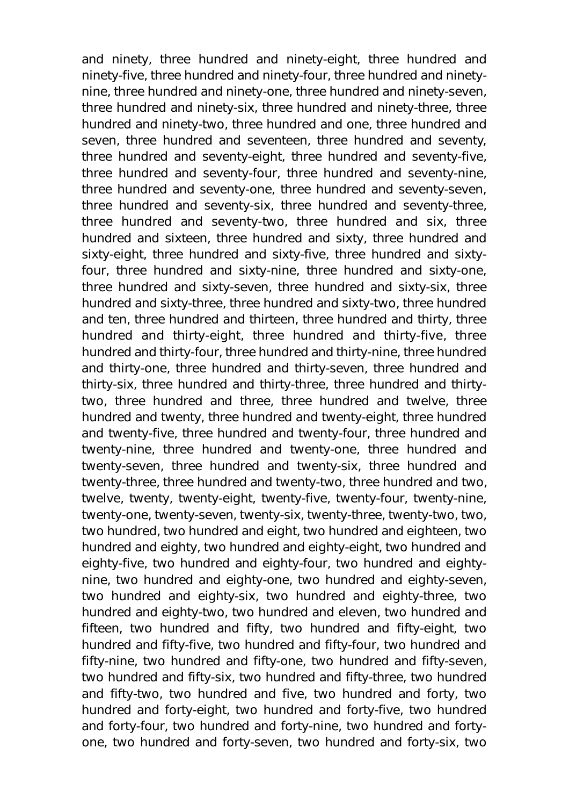and ninety, three hundred and ninety-eight, three hundred and ninety-five, three hundred and ninety-four, three hundred and ninetynine, three hundred and ninety-one, three hundred and ninety-seven, three hundred and ninety-six, three hundred and ninety-three, three hundred and ninety-two, three hundred and one, three hundred and seven, three hundred and seventeen, three hundred and seventy, three hundred and seventy-eight, three hundred and seventy-five, three hundred and seventy-four, three hundred and seventy-nine, three hundred and seventy-one, three hundred and seventy-seven, three hundred and seventy-six, three hundred and seventy-three, three hundred and seventy-two, three hundred and six, three hundred and sixteen, three hundred and sixty, three hundred and sixty-eight, three hundred and sixty-five, three hundred and sixtyfour, three hundred and sixty-nine, three hundred and sixty-one, three hundred and sixty-seven, three hundred and sixty-six, three hundred and sixty-three, three hundred and sixty-two, three hundred and ten, three hundred and thirteen, three hundred and thirty, three hundred and thirty-eight, three hundred and thirty-five, three hundred and thirty-four, three hundred and thirty-nine, three hundred and thirty-one, three hundred and thirty-seven, three hundred and thirty-six, three hundred and thirty-three, three hundred and thirtytwo, three hundred and three, three hundred and twelve, three hundred and twenty, three hundred and twenty-eight, three hundred and twenty-five, three hundred and twenty-four, three hundred and twenty-nine, three hundred and twenty-one, three hundred and twenty-seven, three hundred and twenty-six, three hundred and twenty-three, three hundred and twenty-two, three hundred and two, twelve, twenty, twenty-eight, twenty-five, twenty-four, twenty-nine, twenty-one, twenty-seven, twenty-six, twenty-three, twenty-two, two, two hundred, two hundred and eight, two hundred and eighteen, two hundred and eighty, two hundred and eighty-eight, two hundred and eighty-five, two hundred and eighty-four, two hundred and eightynine, two hundred and eighty-one, two hundred and eighty-seven, two hundred and eighty-six, two hundred and eighty-three, two hundred and eighty-two, two hundred and eleven, two hundred and fifteen, two hundred and fifty, two hundred and fifty-eight, two hundred and fifty-five, two hundred and fifty-four, two hundred and fifty-nine, two hundred and fifty-one, two hundred and fifty-seven, two hundred and fifty-six, two hundred and fifty-three, two hundred and fifty-two, two hundred and five, two hundred and forty, two hundred and forty-eight, two hundred and forty-five, two hundred and forty-four, two hundred and forty-nine, two hundred and fortyone, two hundred and forty-seven, two hundred and forty-six, two